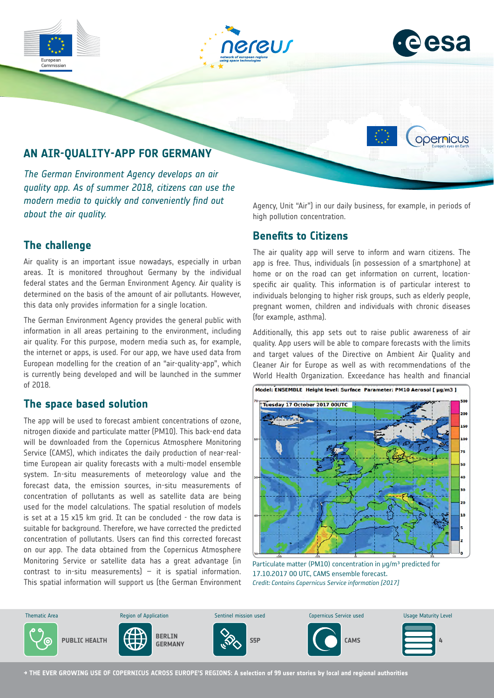





opernicus

# **AN AIR-QUALITY-APP FOR GERMANY**

*The German Environment Agency develops an air quality app. As of summer 2018, citizens can use the modern media to quickly and conveniently find out about the air quality.*

## **The challenge**

Air quality is an important issue nowadays, especially in urban areas. It is monitored throughout Germany by the individual federal states and the German Environment Agency. Air quality is determined on the basis of the amount of air pollutants. However, this data only provides information for a single location.

The German Environment Agency provides the general public with information in all areas pertaining to the environment, including air quality. For this purpose, modern media such as, for example, the internet or apps, is used. For our app, we have used data from European modelling for the creation of an "air-quality-app", which is currently being developed and will be launched in the summer of 2018.

### **The space based solution**

The app will be used to forecast ambient concentrations of ozone, nitrogen dioxide and particulate matter (PM10). This back-end data will be downloaded from the Copernicus Atmosphere Monitoring Service (CAMS), which indicates the daily production of near-realtime European air quality forecasts with a multi-model ensemble system. In-situ measurements of meteorology value and the forecast data, the emission sources, in-situ measurements of concentration of pollutants as well as satellite data are being used for the model calculations. The spatial resolution of models is set at a 15 x15 km grid. It can be concluded - the row data is suitable for background. Therefore, we have corrected the predicted concentration of pollutants. Users can find this corrected forecast on our app. The data obtained from the Copernicus Atmosphere Monitoring Service or satellite data has a great advantage (in contrast to in-situ measurements)  $-$  it is spatial information. This spatial information will support us (the German Environment Agency, Unit "Air") in our daily business, for example, in periods of high pollution concentration.

#### **Benefits to Citizens**

The air quality app will serve to inform and warn citizens. The app is free. Thus, individuals (in possession of a smartphone) at home or on the road can get information on current, locationspecific air quality. This information is of particular interest to individuals belonging to higher risk groups, such as elderly people, pregnant women, children and individuals with chronic diseases (for example, asthma).

Additionally, this app sets out to raise public awareness of air quality. App users will be able to compare forecasts with the limits and target values of the Directive on Ambient Air Quality and Cleaner Air for Europe as well as with recommendations of the World Health Organization. Exceedance has health and financial



**Credit: Contains Copernicus Service information [2017]** Particulate matter (PM10) concentration in  $\mu q/m^3$  predicted for 17.10.2017 00 UTC, CAMS ensemble forecast.



**→ THE EVER GROWING USE OF COPERNICUS ACROSS EUROPE'S REGIONS: A selection of 99 user stories by local and regional authorities**